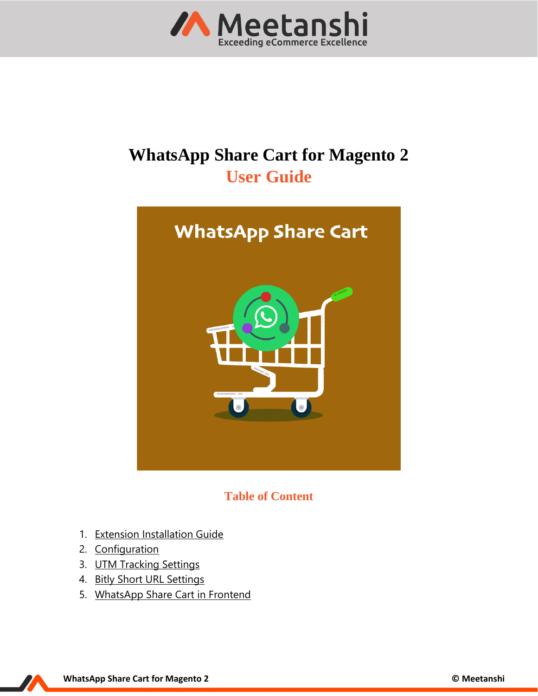

# **WhatsApp Share Cart for Magento 2 User Guide**



**Table of Content**

- 1. [Extension Installation Guide](#page-1-0)
- 2. [Configuration](#page-1-1)
- 3. [UTM Tracking Settings](#page-2-0)
- 4. [Bitly Short URL Settings](#page-2-1)
- 5. [WhatsApp Share Cart](#page-3-0) in Frontend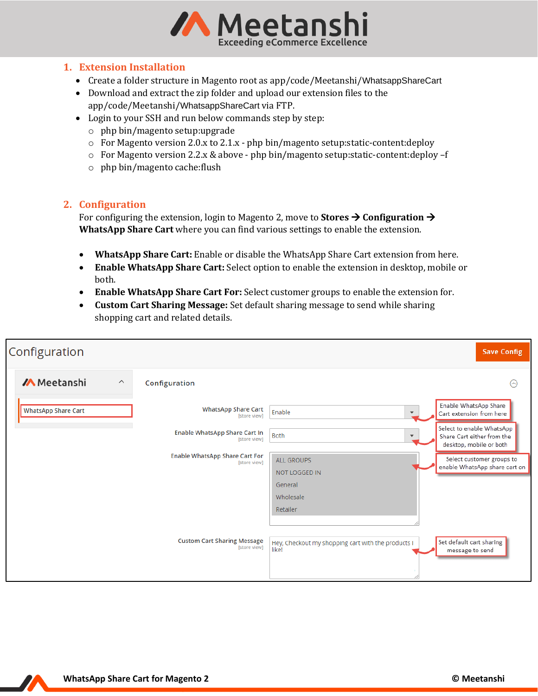

### <span id="page-1-0"></span>**1. Extension Installation**

- Create a folder structure in Magento root as app/code/Meetanshi/WhatsappShareCart
- Download and extract the zip folder and upload our extension files to the app/code/Meetanshi/WhatsappShareCart via FTP.
- Login to your SSH and run below commands step by step:
	- o php bin/magento setup:upgrade
	- o For Magento version 2.0.x to 2.1.x php bin/magento setup:static-content:deploy
	- o For Magento version 2.2.x & above php bin/magento setup:static-content:deploy –f
	- o php bin/magento cache:flush

### <span id="page-1-1"></span>**2. Configuration**

For configuring the extension, login to Magento 2, move to **Stores** → **Configuration** → **WhatsApp Share Cart** where you can find various settings to enable the extension.

- **WhatsApp Share Cart:** Enable or disable the WhatsApp Share Cart extension from here.
- **Enable WhatsApp Share Cart:** Select option to enable the extension in desktop, mobile or both.
- **Enable WhatsApp Share Cart For:** Select customer groups to enable the extension for.
- **Custom Cart Sharing Message:** Set default sharing message to send while sharing shopping cart and related details.

| Configuration                                  |                                                       |                                                             | <b>Save Config</b>                                                                 |
|------------------------------------------------|-------------------------------------------------------|-------------------------------------------------------------|------------------------------------------------------------------------------------|
| <b>/A</b> Meetanshi<br>$\widehat{\phantom{a}}$ | Configuration                                         |                                                             | ⊙                                                                                  |
| <b>WhatsApp Share Cart</b>                     | <b>WhatsApp Share Cart</b><br>[store view]            | Enable<br>$\overline{\mathbf{v}}$                           | Enable WhatsApp Share<br>Cart extension from here                                  |
|                                                | Enable WhatsApp Share Cart In<br>[store view]         | <b>Both</b><br>$\blacktriangledown$                         | Select to enable WhatsApp<br>Share Cart either from the<br>desktop, mobile or both |
|                                                | <b>Enable WhatsApp Share Cart For</b><br>[store view] | <b>ALL GROUPS</b><br>NOT LOGGED IN                          | Select customer groups to<br>enable WhatsApp share cart on                         |
|                                                |                                                       | General                                                     |                                                                                    |
|                                                |                                                       | Wholesale                                                   |                                                                                    |
|                                                |                                                       | Retailer                                                    |                                                                                    |
|                                                |                                                       |                                                             |                                                                                    |
|                                                | <b>Custom Cart Sharing Message</b><br>[store view]    | Hey, Checkout my shopping cart with the products I<br>likel | Set default cart sharing<br>message to send                                        |

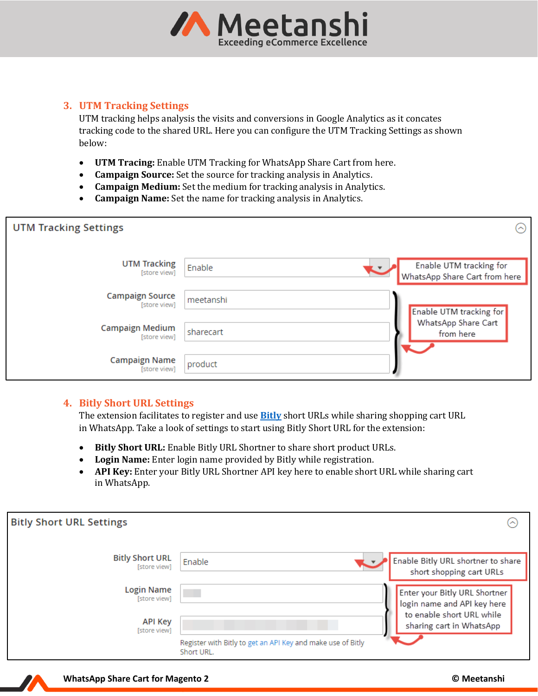

## <span id="page-2-0"></span>**3. UTM Tracking Settings**

UTM tracking helps analysis the visits and conversions in Google Analytics as it concates tracking code to the shared URL. Here you can configure the UTM Tracking Settings as shown below:

- **UTM Tracing:** Enable UTM Tracking for WhatsApp Share Cart from here.
- **Campaign Source:** Set the source for tracking analysis in Analytics.
- **Campaign Medium:** Set the medium for tracking analysis in Analytics.
- **Campaign Name:** Set the name for tracking analysis in Analytics.

| <b>UTM Tracking Settings</b>           |           | ⌒)                                                       |
|----------------------------------------|-----------|----------------------------------------------------------|
| <b>UTM Tracking</b><br>[store view]    | Enable    | Enable UTM tracking for<br>WhatsApp Share Cart from here |
| <b>Campaign Source</b><br>[store view] | meetanshi | <b>Enable UTM</b> tracking for                           |
| <b>Campaign Medium</b><br>[store view] | sharecart | WhatsApp Share Cart<br>from here                         |
| <b>Campaign Name</b><br>[store view]   | product   |                                                          |

## <span id="page-2-1"></span>**4. Bitly Short URL Settings**

The extension facilitates to register and use **[Bitly](https://bitly.com/)** short URLs while sharing shopping cart URL in WhatsApp. Take a look of settings to start using Bitly Short URL for the extension:

- **Bitly Short URL:** Enable Bitly URL Shortner to share short product URLs.
- **Login Name:** Enter login name provided by Bitly while registration.
- **API Key:** Enter your Bitly URL Shortner API key here to enable short URL while sharing cart in WhatsApp.

| <b>Bitly Short URL Settings</b>        |                                                                           | ⌒                                                              |
|----------------------------------------|---------------------------------------------------------------------------|----------------------------------------------------------------|
| <b>Bitly Short URL</b><br>[store view] | Enable                                                                    | Enable Bitly URL shortner to share<br>short shopping cart URLs |
| Login Name<br>[store view]             |                                                                           | Enter your Bitly URL Shortner<br>login name and API key here   |
| <b>API Key</b><br>[store view]         | Register with Bitly to get an API Key and make use of Bitly<br>Short URL. | to enable short URL while<br>sharing cart in WhatsApp          |

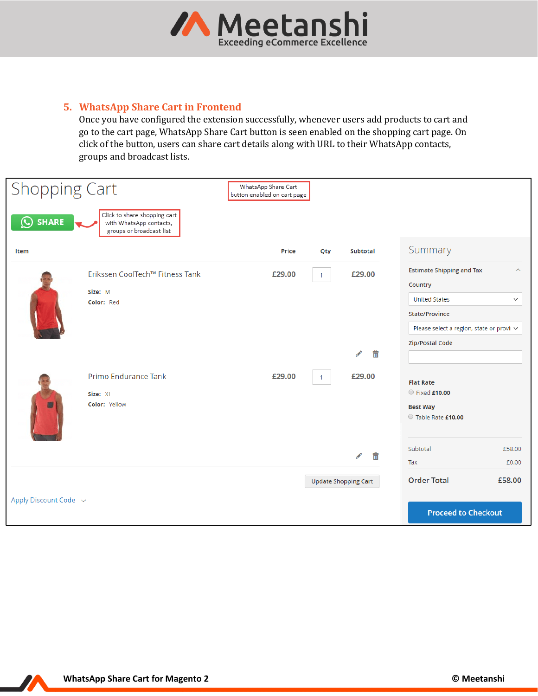

# <span id="page-3-0"></span>**5. WhatsApp Share Cart in Frontend**

Once you have configured the extension successfully, whenever users add products to cart and go to the cart page, WhatsApp Share Cart button is seen enabled on the shopping cart page. On click of the button, users can share cart details along with URL to their WhatsApp contacts, groups and broadcast lists.

| <b>Shopping Cart</b>          |                                                                                     | WhatsApp Share Cart<br>button enabled on cart page |              |                             |                                                                                                                                                              |                                     |
|-------------------------------|-------------------------------------------------------------------------------------|----------------------------------------------------|--------------|-----------------------------|--------------------------------------------------------------------------------------------------------------------------------------------------------------|-------------------------------------|
| <b>SHARE</b><br>$\bm{\omega}$ | Click to share shopping cart<br>with WhatsApp contacts,<br>groups or broadcast list |                                                    |              |                             |                                                                                                                                                              |                                     |
| Item                          |                                                                                     | <b>Price</b>                                       | Qty          | <b>Subtotal</b>             | Summary                                                                                                                                                      |                                     |
|                               | Erikssen CoolTech™ Fitness Tank<br>Size: M<br>Color: Red                            | £29.00                                             | $\mathbf{1}$ | £29.00<br>m<br>◢            | <b>Estimate Shipping and Tax</b><br>Country<br><b>United States</b><br>State/Province<br>Please select a region, state or provii ~<br><b>Zip/Postal Code</b> | $\hat{\phantom{1}}$<br>$\checkmark$ |
|                               | Primo Endurance Tank<br>Size: XL<br>Color: Yellow                                   | £29.00                                             | $\mathbf{1}$ | £29.00<br>而<br>Í            | <b>Flat Rate</b><br>Fixed £10.00<br><b>Best Way</b><br>Table Rate £10.00<br>Subtotal<br>Tax                                                                  | £58.00<br>£0.00                     |
| Apply Discount Code v         |                                                                                     |                                                    |              | <b>Update Shopping Cart</b> | <b>Order Total</b><br><b>Proceed to Checkout</b>                                                                                                             | £58.00                              |

 $\boldsymbol{\mathcal{L}}$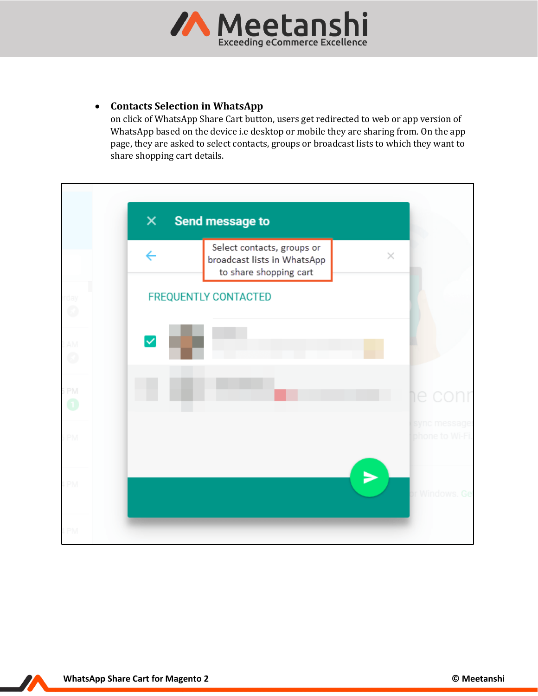

# • **Contacts Selection in WhatsApp**

on click of WhatsApp Share Cart button, users get redirected to web or app version of WhatsApp based on the device i.e desktop or mobile they are sharing from. On the app page, they are asked to select contacts, groups or broadcast lists to which they want to share shopping cart details.